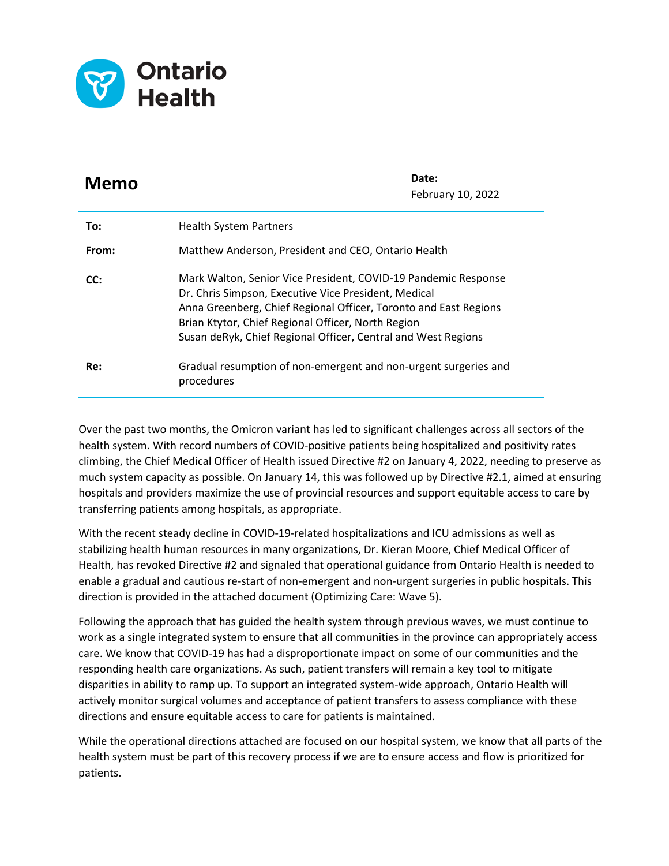

| Memo  | Date:<br>February 10, 2022                                                                                                                                                                                                                                                                                        |
|-------|-------------------------------------------------------------------------------------------------------------------------------------------------------------------------------------------------------------------------------------------------------------------------------------------------------------------|
| To:   | <b>Health System Partners</b>                                                                                                                                                                                                                                                                                     |
| From: | Matthew Anderson, President and CEO, Ontario Health                                                                                                                                                                                                                                                               |
| CC:   | Mark Walton, Senior Vice President, COVID-19 Pandemic Response<br>Dr. Chris Simpson, Executive Vice President, Medical<br>Anna Greenberg, Chief Regional Officer, Toronto and East Regions<br>Brian Ktytor, Chief Regional Officer, North Region<br>Susan deRyk, Chief Regional Officer, Central and West Regions |
| Re:   | Gradual resumption of non-emergent and non-urgent surgeries and<br>procedures                                                                                                                                                                                                                                     |

Over the past two months, the Omicron variant has led to significant challenges across all sectors of the health system. With record numbers of COVID-positive patients being hospitalized and positivity rates climbing, the Chief Medical Officer of Health issued Directive #2 on January 4, 2022, needing to preserve as much system capacity as possible. On January 14, this was followed up by Directive #2.1, aimed at ensuring hospitals and providers maximize the use of provincial resources and support equitable access to care by transferring patients among hospitals, as appropriate.

With the recent steady decline in COVID-19-related hospitalizations and ICU admissions as well as stabilizing health human resources in many organizations, Dr. Kieran Moore, Chief Medical Officer of Health, has revoked Directive #2 and signaled that operational guidance from Ontario Health is needed to enable a gradual and cautious re-start of non-emergent and non-urgent surgeries in public hospitals. This direction is provided in the attached document (Optimizing Care: Wave 5).

Following the approach that has guided the health system through previous waves, we must continue to work as a single integrated system to ensure that all communities in the province can appropriately access care. We know that COVID-19 has had a disproportionate impact on some of our communities and the responding health care organizations. As such, patient transfers will remain a key tool to mitigate disparities in ability to ramp up. To support an integrated system-wide approach, Ontario Health will actively monitor surgical volumes and acceptance of patient transfers to assess compliance with these directions and ensure equitable access to care for patients is maintained.

While the operational directions attached are focused on our hospital system, we know that all parts of the health system must be part of this recovery process if we are to ensure access and flow is prioritized for patients.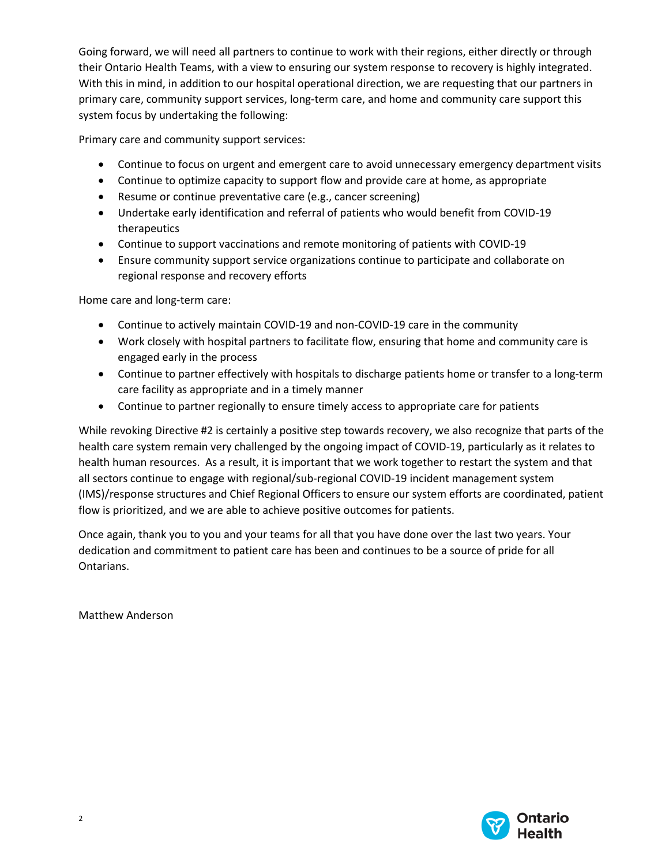Going forward, we will need all partners to continue to work with their regions, either directly or through their Ontario Health Teams, with a view to ensuring our system response to recovery is highly integrated. With this in mind, in addition to our hospital operational direction, we are requesting that our partners in primary care, community support services, long-term care, and home and community care support this system focus by undertaking the following:

Primary care and community support services:

- Continue to focus on urgent and emergent care to avoid unnecessary emergency department visits
- Continue to optimize capacity to support flow and provide care at home, as appropriate
- Resume or continue preventative care (e.g., cancer screening)
- Undertake early identification and referral of patients who would benefit from COVID-19 therapeutics
- Continue to support vaccinations and remote monitoring of patients with COVID-19
- Ensure community support service organizations continue to participate and collaborate on regional response and recovery efforts

Home care and long-term care:

- Continue to actively maintain COVID-19 and non-COVID-19 care in the community
- Work closely with hospital partners to facilitate flow, ensuring that home and community care is engaged early in the process
- Continue to partner effectively with hospitals to discharge patients home or transfer to a long-term care facility as appropriate and in a timely manner
- Continue to partner regionally to ensure timely access to appropriate care for patients

While revoking Directive #2 is certainly a positive step towards recovery, we also recognize that parts of the health care system remain very challenged by the ongoing impact of COVID-19, particularly as it relates to health human resources. As a result, it is important that we work together to restart the system and that all sectors continue to engage with regional/sub-regional COVID-19 incident management system (IMS)/response structures and Chief Regional Officers to ensure our system efforts are coordinated, patient flow is prioritized, and we are able to achieve positive outcomes for patients.

Once again, thank you to you and your teams for all that you have done over the last two years. Your dedication and commitment to patient care has been and continues to be a source of pride for all Ontarians.

Matthew Anderson

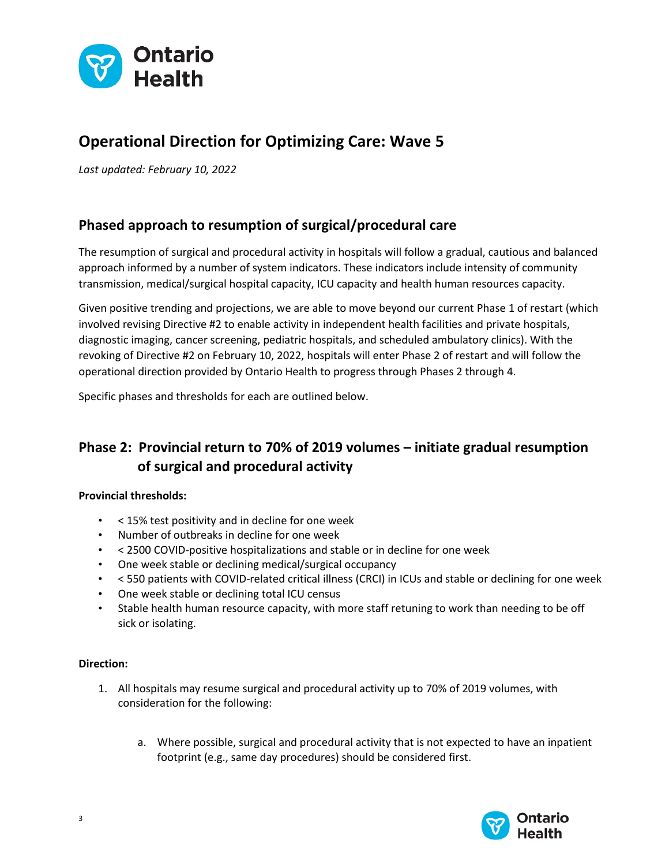

# **Operational Direction for Optimizing Care: Wave 5**

*Last updated: February 10, 2022*

### **Phased approach to resumption of surgical/procedural care**

The resumption of surgical and procedural activity in hospitals will follow a gradual, cautious and balanced approach informed by a number of system indicators. These indicators include intensity of community transmission, medical/surgical hospital capacity, ICU capacity and health human resources capacity.

Given positive trending and projections, we are able to move beyond our current Phase 1 of restart (which involved revising Directive #2 to enable activity in independent health facilities and private hospitals, diagnostic imaging, cancer screening, pediatric hospitals, and scheduled ambulatory clinics). With the revoking of Directive #2 on February 10, 2022, hospitals will enter Phase 2 of restart and will follow the operational direction provided by Ontario Health to progress through Phases 2 through 4.

Specific phases and thresholds for each are outlined below.

## **Phase 2: Provincial return to 70% of 2019 volumes – initiate gradual resumption of surgical and procedural activity**

#### **Provincial thresholds:**

- < 15% test positivity and in decline for one week
- Number of outbreaks in decline for one week
- < 2500 COVID-positive hospitalizations and stable or in decline for one week
- One week stable or declining medical/surgical occupancy
- < 550 patients with COVID-related critical illness (CRCI) in ICUs and stable or declining for one week
- One week stable or declining total ICU census
- Stable health human resource capacity, with more staff retuning to work than needing to be off sick or isolating.

#### **Direction:**

- 1. All hospitals may resume surgical and procedural activity up to 70% of 2019 volumes, with consideration for the following:
	- a. Where possible, surgical and procedural activity that is not expected to have an inpatient footprint (e.g., same day procedures) should be considered first.

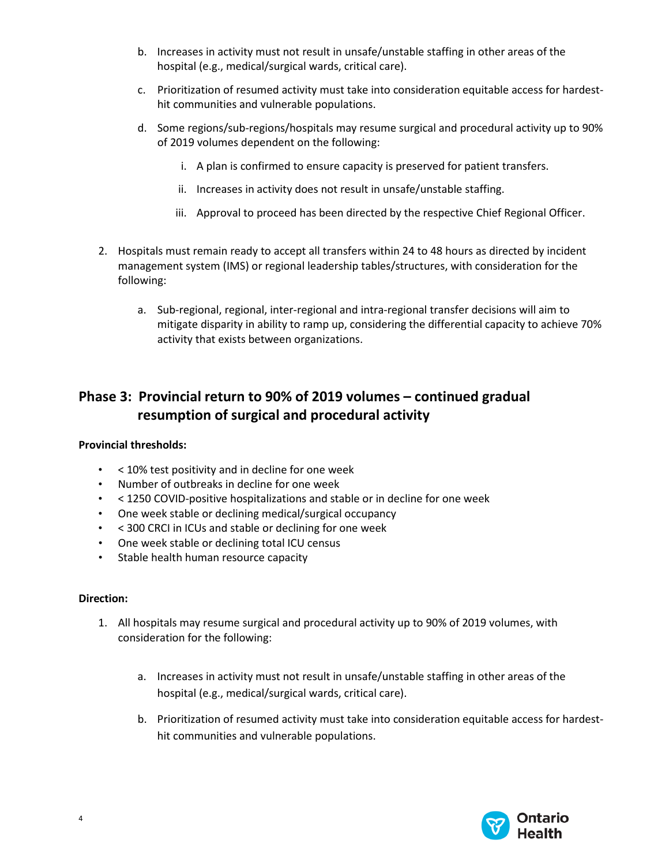- b. Increases in activity must not result in unsafe/unstable staffing in other areas of the hospital (e.g., medical/surgical wards, critical care).
- c. Prioritization of resumed activity must take into consideration equitable access for hardesthit communities and vulnerable populations.
- d. Some regions/sub-regions/hospitals may resume surgical and procedural activity up to 90% of 2019 volumes dependent on the following:
	- i. A plan is confirmed to ensure capacity is preserved for patient transfers.
	- ii. Increases in activity does not result in unsafe/unstable staffing.
	- iii. Approval to proceed has been directed by the respective Chief Regional Officer.
- 2. Hospitals must remain ready to accept all transfers within 24 to 48 hours as directed by incident management system (IMS) or regional leadership tables/structures, with consideration for the following:
	- a. Sub-regional, regional, inter-regional and intra-regional transfer decisions will aim to mitigate disparity in ability to ramp up, considering the differential capacity to achieve 70% activity that exists between organizations.

### **Phase 3: Provincial return to 90% of 2019 volumes – continued gradual resumption of surgical and procedural activity**

#### **Provincial thresholds:**

- < 10% test positivity and in decline for one week
- Number of outbreaks in decline for one week
- < 1250 COVID-positive hospitalizations and stable or in decline for one week
- One week stable or declining medical/surgical occupancy
- < 300 CRCI in ICUs and stable or declining for one week
- One week stable or declining total ICU census
- Stable health human resource capacity

#### **Direction:**

- 1. All hospitals may resume surgical and procedural activity up to 90% of 2019 volumes, with consideration for the following:
	- a. Increases in activity must not result in unsafe/unstable staffing in other areas of the hospital (e.g., medical/surgical wards, critical care).
	- b. Prioritization of resumed activity must take into consideration equitable access for hardesthit communities and vulnerable populations.

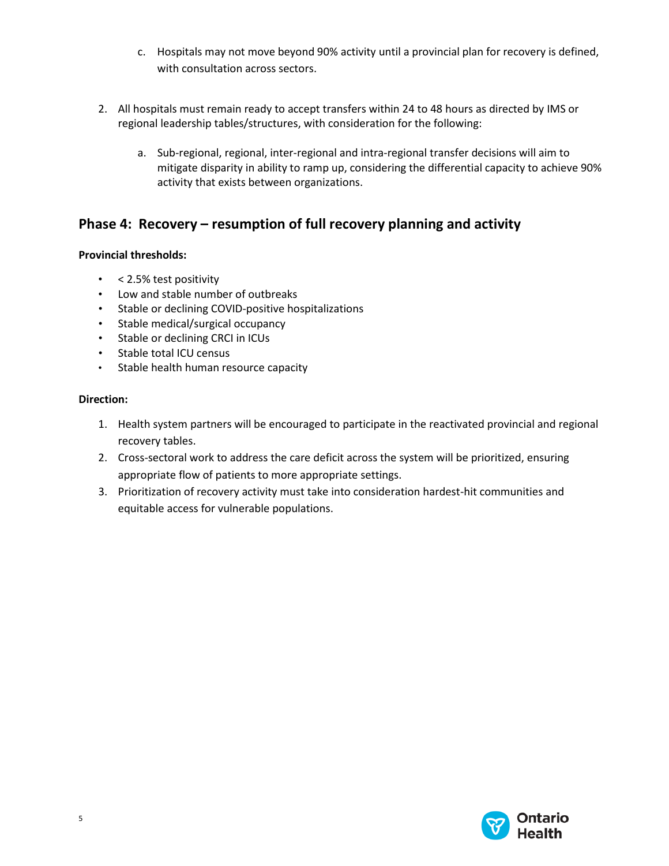- c. Hospitals may not move beyond 90% activity until a provincial plan for recovery is defined, with consultation across sectors.
- 2. All hospitals must remain ready to accept transfers within 24 to 48 hours as directed by IMS or regional leadership tables/structures, with consideration for the following:
	- a. Sub-regional, regional, inter-regional and intra-regional transfer decisions will aim to mitigate disparity in ability to ramp up, considering the differential capacity to achieve 90% activity that exists between organizations.

### **Phase 4: Recovery – resumption of full recovery planning and activity**

### **Provincial thresholds:**

- < 2.5% test positivity
- Low and stable number of outbreaks
- Stable or declining COVID-positive hospitalizations
- Stable medical/surgical occupancy
- Stable or declining CRCI in ICUs
- Stable total ICU census
- Stable health human resource capacity

#### **Direction:**

- 1. Health system partners will be encouraged to participate in the reactivated provincial and regional recovery tables.
- 2. Cross-sectoral work to address the care deficit across the system will be prioritized, ensuring appropriate flow of patients to more appropriate settings.
- 3. Prioritization of recovery activity must take into consideration hardest-hit communities and equitable access for vulnerable populations.